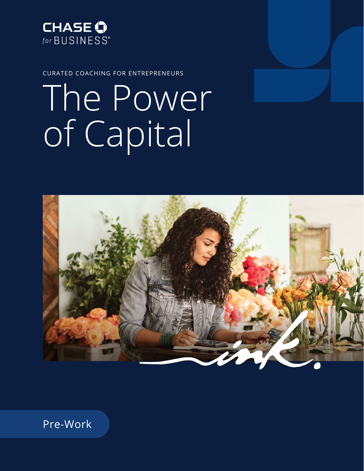

CURATED COACHING FOR ENTREPRENEURS

# The Power of Capital



Pre-Work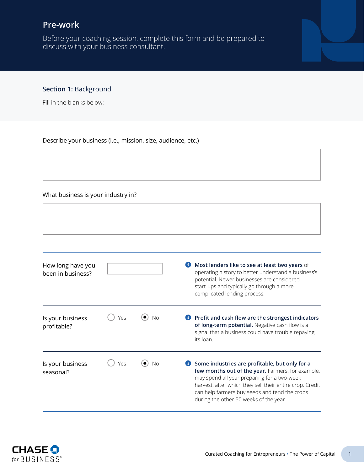# **Pre-work**

Before your coaching session, complete this form and be prepared to discuss with your business consultant.

## **Section 1:** Background

Fill in the blanks below:

#### Describe your business (i.e., mission, size, audience, etc.)

#### What business is your industry in?

| How long have you<br>been in business? |     |           | Most lenders like to see at least two years of<br>operating history to better understand a business's<br>potential. Newer businesses are considered<br>start-ups and typically go through a more<br>complicated lending process.                                                                          |
|----------------------------------------|-----|-----------|-----------------------------------------------------------------------------------------------------------------------------------------------------------------------------------------------------------------------------------------------------------------------------------------------------------|
| Is your business<br>profitable?        | Yρς | <b>No</b> | Profit and cash flow are the strongest indicators<br>of long-term potential. Negative cash flow is a<br>signal that a business could have trouble repaying<br>its loan.                                                                                                                                   |
| Is your business<br>seasonal?          | Ύρς | <b>No</b> | Some industries are profitable, but only for a<br>few months out of the year. Farmers, for example,<br>may spend all year preparing for a two-week<br>harvest, after which they sell their entire crop. Credit<br>can help farmers buy seeds and tend the crops<br>during the other 50 weeks of the year. |

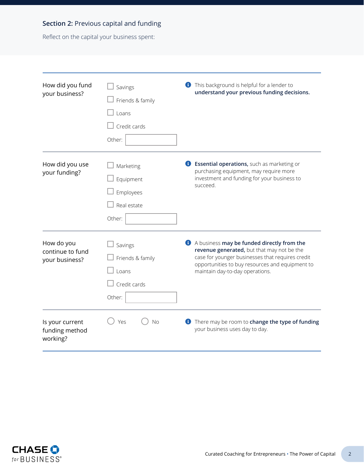# **Section 2:** Previous capital and funding

Reflect on the capital your business spent:

| How did you fund<br>your business?               | Savings<br>Friends & family<br>Loans<br>Credit cards<br>Other: | This background is helpful for a lender to<br>O<br>understand your previous funding decisions.                                                                                                                                     |
|--------------------------------------------------|----------------------------------------------------------------|------------------------------------------------------------------------------------------------------------------------------------------------------------------------------------------------------------------------------------|
| How did you use<br>your funding?                 | Marketing<br>Equipment<br>Employees<br>Real estate<br>Other:   | <b>B</b> Essential operations, such as marketing or<br>purchasing equipment, may require more<br>investment and funding for your business to<br>succeed.                                                                           |
| How do you<br>continue to fund<br>your business? | Savings<br>Friends & family<br>Loans<br>Credit cards<br>Other: | A business may be funded directly from the<br>revenue generated, but that may not be the<br>case for younger businesses that requires credit<br>opportunities to buy resources and equipment to<br>maintain day-to-day operations. |
| Is your current<br>funding method<br>working?    | <b>No</b><br>Yes                                               | <b>f</b> There may be room to change the type of funding<br>your business uses day to day.                                                                                                                                         |